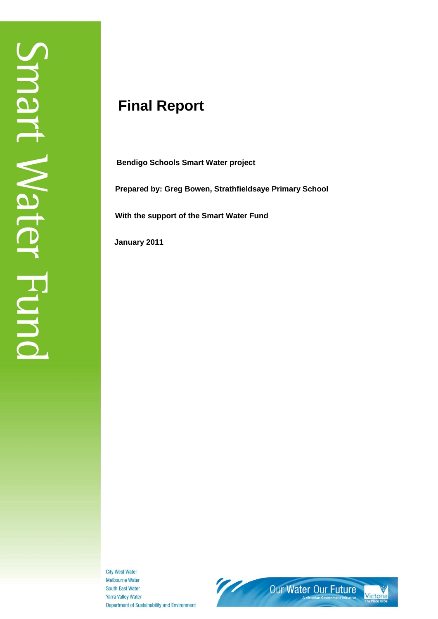# **Final Report**

**Bendigo Schools Smart Water project**

**Prepared by: Greg Bowen, Strathfieldsaye Primary School**

**With the support of the Smart Water Fund**

 **January 2011**

**City West Water Melbourne Water** South East Water **Yarra Valley Water** Department of Sustainability and Environment

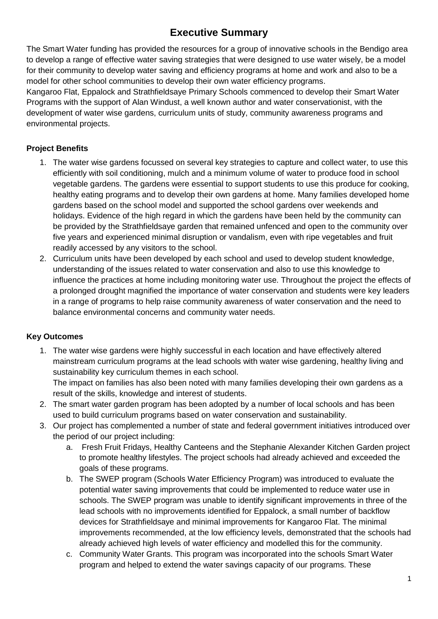### **Executive Summary**

The Smart Water funding has provided the resources for a group of innovative schools in the Bendigo area to develop a range of effective water saving strategies that were designed to use water wisely, be a model for their community to develop water saving and efficiency programs at home and work and also to be a model for other school communities to develop their own water efficiency programs.

Kangaroo Flat, Eppalock and Strathfieldsaye Primary Schools commenced to develop their Smart Water Programs with the support of Alan Windust, a well known author and water conservationist, with the development of water wise gardens, curriculum units of study, community awareness programs and environmental projects.

#### **Project Benefits**

- 1. The water wise gardens focussed on several key strategies to capture and collect water, to use this efficiently with soil conditioning, mulch and a minimum volume of water to produce food in school vegetable gardens. The gardens were essential to support students to use this produce for cooking, healthy eating programs and to develop their own gardens at home. Many families developed home gardens based on the school model and supported the school gardens over weekends and holidays. Evidence of the high regard in which the gardens have been held by the community can be provided by the Strathfieldsaye garden that remained unfenced and open to the community over five years and experienced minimal disruption or vandalism, even with ripe vegetables and fruit readily accessed by any visitors to the school.
- 2. Curriculum units have been developed by each school and used to develop student knowledge, understanding of the issues related to water conservation and also to use this knowledge to influence the practices at home including monitoring water use. Throughout the project the effects of a prolonged drought magnified the importance of water conservation and students were key leaders in a range of programs to help raise community awareness of water conservation and the need to balance environmental concerns and community water needs.

#### **Key Outcomes**

1. The water wise gardens were highly successful in each location and have effectively altered mainstream curriculum programs at the lead schools with water wise gardening, healthy living and sustainability key curriculum themes in each school.

The impact on families has also been noted with many families developing their own gardens as a result of the skills, knowledge and interest of students.

- 2. The smart water garden program has been adopted by a number of local schools and has been used to build curriculum programs based on water conservation and sustainability.
- 3. Our project has complemented a number of state and federal government initiatives introduced over the period of our project including:
	- a. Fresh Fruit Fridays, Healthy Canteens and the Stephanie Alexander Kitchen Garden project to promote healthy lifestyles. The project schools had already achieved and exceeded the goals of these programs.
	- b. The SWEP program (Schools Water Efficiency Program) was introduced to evaluate the potential water saving improvements that could be implemented to reduce water use in schools. The SWEP program was unable to identify significant improvements in three of the lead schools with no improvements identified for Eppalock, a small number of backflow devices for Strathfieldsaye and minimal improvements for Kangaroo Flat. The minimal improvements recommended, at the low efficiency levels, demonstrated that the schools had already achieved high levels of water efficiency and modelled this for the community.
	- c. Community Water Grants. This program was incorporated into the schools Smart Water program and helped to extend the water savings capacity of our programs. These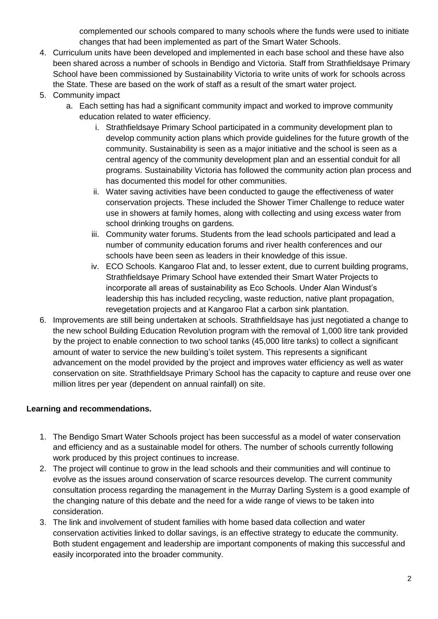complemented our schools compared to many schools where the funds were used to initiate changes that had been implemented as part of the Smart Water Schools.

- 4. Curriculum units have been developed and implemented in each base school and these have also been shared across a number of schools in Bendigo and Victoria. Staff from Strathfieldsaye Primary School have been commissioned by Sustainability Victoria to write units of work for schools across the State. These are based on the work of staff as a result of the smart water project.
- 5. Community impact
	- a. Each setting has had a significant community impact and worked to improve community education related to water efficiency.
		- i. Strathfieldsaye Primary School participated in a community development plan to develop community action plans which provide guidelines for the future growth of the community. Sustainability is seen as a major initiative and the school is seen as a central agency of the community development plan and an essential conduit for all programs. Sustainability Victoria has followed the community action plan process and has documented this model for other communities.
		- ii. Water saving activities have been conducted to gauge the effectiveness of water conservation projects. These included the Shower Timer Challenge to reduce water use in showers at family homes, along with collecting and using excess water from school drinking troughs on gardens.
		- iii. Community water forums. Students from the lead schools participated and lead a number of community education forums and river health conferences and our schools have been seen as leaders in their knowledge of this issue.
		- iv. ECO Schools. Kangaroo Flat and, to lesser extent, due to current building programs, Strathfieldsaye Primary School have extended their Smart Water Projects to incorporate all areas of sustainability as Eco Schools. Under Alan Windust's leadership this has included recycling, waste reduction, native plant propagation, revegetation projects and at Kangaroo Flat a carbon sink plantation.
- 6. Improvements are still being undertaken at schools. Strathfieldsaye has just negotiated a change to the new school Building Education Revolution program with the removal of 1,000 litre tank provided by the project to enable connection to two school tanks (45,000 litre tanks) to collect a significant amount of water to service the new building's toilet system. This represents a significant advancement on the model provided by the project and improves water efficiency as well as water conservation on site. Strathfieldsaye Primary School has the capacity to capture and reuse over one million litres per year (dependent on annual rainfall) on site.

#### **Learning and recommendations.**

- 1. The Bendigo Smart Water Schools project has been successful as a model of water conservation and efficiency and as a sustainable model for others. The number of schools currently following work produced by this project continues to increase.
- 2. The project will continue to grow in the lead schools and their communities and will continue to evolve as the issues around conservation of scarce resources develop. The current community consultation process regarding the management in the Murray Darling System is a good example of the changing nature of this debate and the need for a wide range of views to be taken into consideration.
- 3. The link and involvement of student families with home based data collection and water conservation activities linked to dollar savings, is an effective strategy to educate the community. Both student engagement and leadership are important components of making this successful and easily incorporated into the broader community.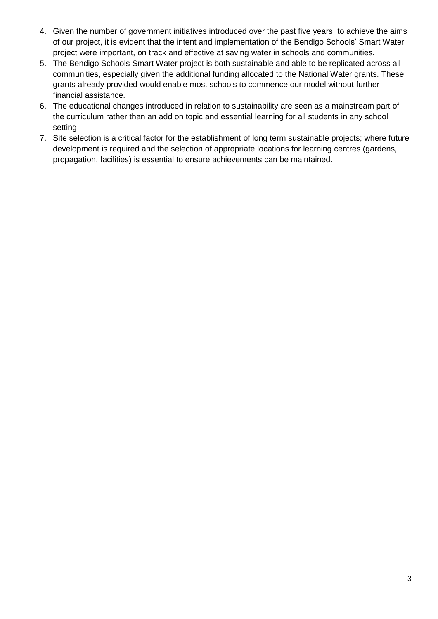- 4. Given the number of government initiatives introduced over the past five years, to achieve the aims of our project, it is evident that the intent and implementation of the Bendigo Schools' Smart Water project were important, on track and effective at saving water in schools and communities.
- 5. The Bendigo Schools Smart Water project is both sustainable and able to be replicated across all communities, especially given the additional funding allocated to the National Water grants. These grants already provided would enable most schools to commence our model without further financial assistance.
- 6. The educational changes introduced in relation to sustainability are seen as a mainstream part of the curriculum rather than an add on topic and essential learning for all students in any school setting.
- 7. Site selection is a critical factor for the establishment of long term sustainable projects; where future development is required and the selection of appropriate locations for learning centres (gardens, propagation, facilities) is essential to ensure achievements can be maintained.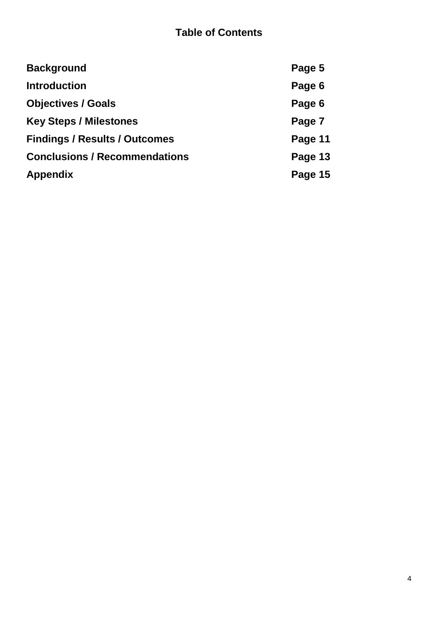# **Table of Contents**

| <b>Background</b>                    | Page 5  |
|--------------------------------------|---------|
| <b>Introduction</b>                  | Page 6  |
| <b>Objectives / Goals</b>            | Page 6  |
| <b>Key Steps / Milestones</b>        | Page 7  |
| <b>Findings / Results / Outcomes</b> | Page 11 |
| <b>Conclusions / Recommendations</b> | Page 13 |
| <b>Appendix</b>                      | Page 15 |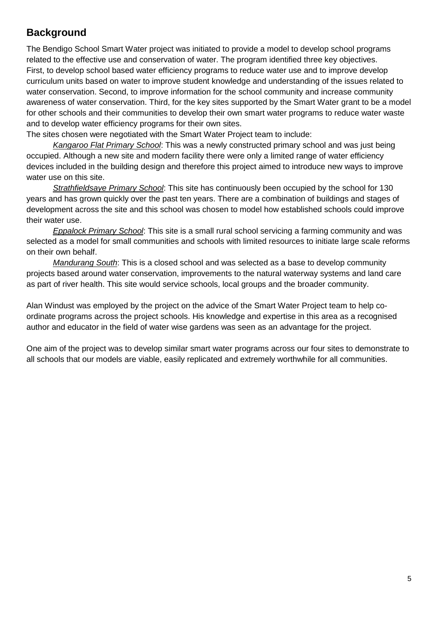### **Background**

The Bendigo School Smart Water project was initiated to provide a model to develop school programs related to the effective use and conservation of water. The program identified three key objectives. First, to develop school based water efficiency programs to reduce water use and to improve develop curriculum units based on water to improve student knowledge and understanding of the issues related to water conservation. Second, to improve information for the school community and increase community awareness of water conservation. Third, for the key sites supported by the Smart Water grant to be a model for other schools and their communities to develop their own smart water programs to reduce water waste and to develop water efficiency programs for their own sites.

The sites chosen were negotiated with the Smart Water Project team to include:

*Kangaroo Flat Primary School*: This was a newly constructed primary school and was just being occupied. Although a new site and modern facility there were only a limited range of water efficiency devices included in the building design and therefore this project aimed to introduce new ways to improve water use on this site.

*Strathfieldsaye Primary School*: This site has continuously been occupied by the school for 130 years and has grown quickly over the past ten years. There are a combination of buildings and stages of development across the site and this school was chosen to model how established schools could improve their water use.

*Eppalock Primary School*: This site is a small rural school servicing a farming community and was selected as a model for small communities and schools with limited resources to initiate large scale reforms on their own behalf.

*Mandurang South*: This is a closed school and was selected as a base to develop community projects based around water conservation, improvements to the natural waterway systems and land care as part of river health. This site would service schools, local groups and the broader community.

Alan Windust was employed by the project on the advice of the Smart Water Project team to help coordinate programs across the project schools. His knowledge and expertise in this area as a recognised author and educator in the field of water wise gardens was seen as an advantage for the project.

One aim of the project was to develop similar smart water programs across our four sites to demonstrate to all schools that our models are viable, easily replicated and extremely worthwhile for all communities.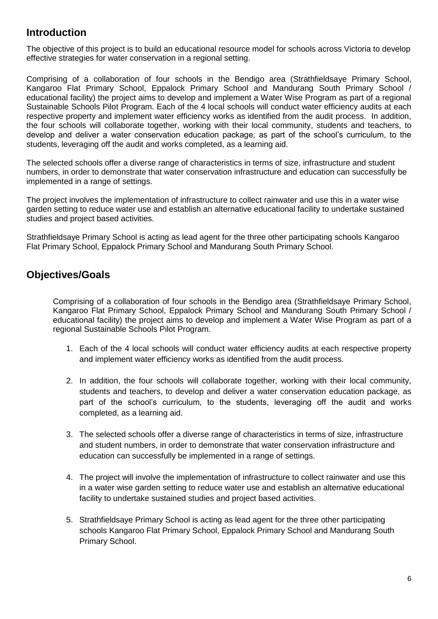### **Introduction**

The objective of this project is to build an educational resource model for schools across Victoria to develop effective strategies for water conservation in a regional setting.

Comprising of a collaboration of four schools in the Bendigo area (Strathfieldsaye Primary School, Kangaroo Flat Primary School, Eppalock Primary School and Mandurang South Primary School / educational facility) the project aims to develop and implement a Water Wise Program as part of a regional Sustainable Schools Pilot Program. Each of the 4 local schools will conduct water efficiency audits at each respective property and implement water efficiency works as identified from the audit process. In addition, the four schools will collaborate together, working with their local community, students and teachers, to develop and deliver a water conservation education package, as part of the school's curriculum, to the students, leveraging off the audit and works completed, as a learning aid.

The selected schools offer a diverse range of characteristics in terms of size, infrastructure and student numbers, in order to demonstrate that water conservation infrastructure and education can successfully be implemented in a range of settings.

The project involves the implementation of infrastructure to collect rainwater and use this in a water wise garden setting to reduce water use and establish an alternative educational facility to undertake sustained studies and project based activities.

Strathfieldsaye Primary School is acting as lead agent for the three other participating schools Kangaroo Flat Primary School, Eppalock Primary School and Mandurang South Primary School.

### **Objectives/Goals**

Comprising of a collaboration of four schools in the Bendigo area (Strathfieldsaye Primary School, Kangaroo Flat Primary School, Eppalock Primary School and Mandurang South Primary School / educational facility) the project aims to develop and implement a Water Wise Program as part of a regional Sustainable Schools Pilot Program.

- 1. Each of the 4 local schools will conduct water efficiency audits at each respective property and implement water efficiency works as identified from the audit process.
- 2. In addition, the four schools will collaborate together, working with their local community, students and teachers, to develop and deliver a water conservation education package, as part of the school's curriculum, to the students, leveraging off the audit and works completed, as a learning aid.
- 3. The selected schools offer a diverse range of characteristics in terms of size, infrastructure and student numbers, in order to demonstrate that water conservation infrastructure and education can successfully be implemented in a range of settings.
- 4. The project will involve the implementation of infrastructure to collect rainwater and use this in a water wise garden setting to reduce water use and establish an alternative educational facility to undertake sustained studies and project based activities.
- 5. Strathfieldsaye Primary School is acting as lead agent for the three other participating schools Kangaroo Flat Primary School, Eppalock Primary School and Mandurang South Primary School.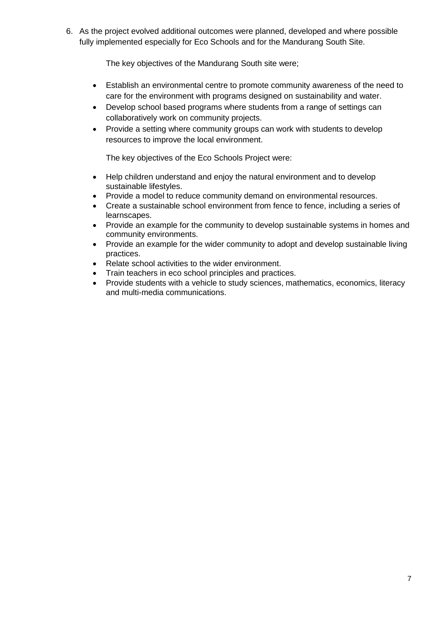6. As the project evolved additional outcomes were planned, developed and where possible fully implemented especially for Eco Schools and for the Mandurang South Site.

The key objectives of the Mandurang South site were;

- Establish an environmental centre to promote community awareness of the need to care for the environment with programs designed on sustainability and water.
- Develop school based programs where students from a range of settings can collaboratively work on community projects.
- Provide a setting where community groups can work with students to develop resources to improve the local environment.

The key objectives of the Eco Schools Project were:

- Help children understand and enjoy the natural environment and to develop sustainable lifestyles.
- Provide a model to reduce community demand on environmental resources.
- Create a sustainable school environment from fence to fence, including a series of learnscapes.
- Provide an example for the community to develop sustainable systems in homes and community environments.
- Provide an example for the wider community to adopt and develop sustainable living practices.
- Relate school activities to the wider environment.
- Train teachers in eco school principles and practices.
- Provide students with a vehicle to study sciences, mathematics, economics, literacy and multi-media communications.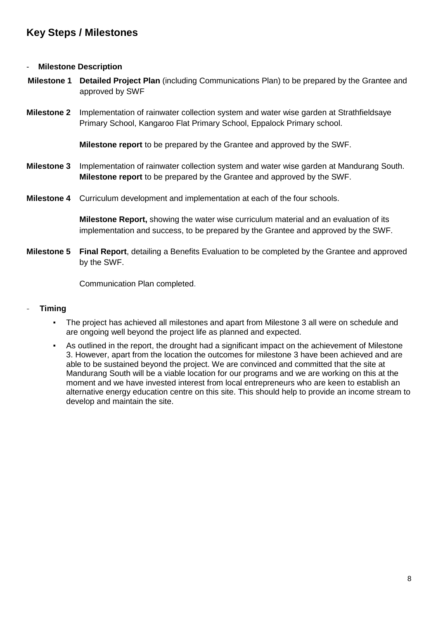### **Key Steps / Milestones**

#### - **Milestone Description**

- **Milestone 1 Detailed Project Plan** (including Communications Plan) to be prepared by the Grantee and approved by SWF
- **Milestone 2** Implementation of rainwater collection system and water wise garden at Strathfieldsaye Primary School, Kangaroo Flat Primary School, Eppalock Primary school.

**Milestone report** to be prepared by the Grantee and approved by the SWF.

- **Milestone 3** Implementation of rainwater collection system and water wise garden at Mandurang South. **Milestone report** to be prepared by the Grantee and approved by the SWF.
- **Milestone 4** Curriculum development and implementation at each of the four schools.

**Milestone Report,** showing the water wise curriculum material and an evaluation of its implementation and success, to be prepared by the Grantee and approved by the SWF.

**Milestone 5 Final Report**, detailing a Benefits Evaluation to be completed by the Grantee and approved by the SWF.

Communication Plan completed.

#### - **Timing**

- The project has achieved all milestones and apart from Milestone 3 all were on schedule and are ongoing well beyond the project life as planned and expected.
- As outlined in the report, the drought had a significant impact on the achievement of Milestone 3. However, apart from the location the outcomes for milestone 3 have been achieved and are able to be sustained beyond the project. We are convinced and committed that the site at Mandurang South will be a viable location for our programs and we are working on this at the moment and we have invested interest from local entrepreneurs who are keen to establish an alternative energy education centre on this site. This should help to provide an income stream to develop and maintain the site.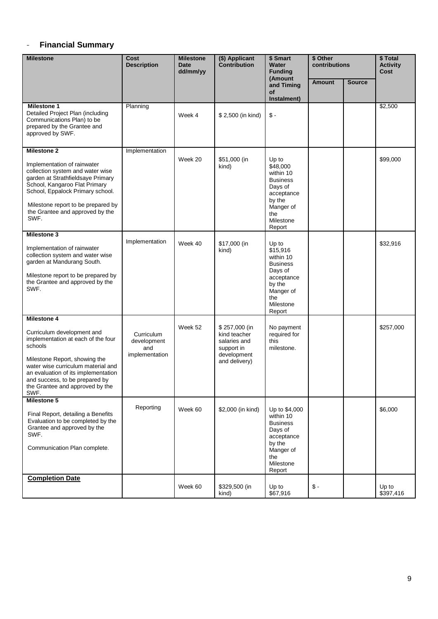#### - **Financial Summary**

| <b>Milestone</b>                                                                                                                                                                                                                                                                      | <b>Cost</b><br><b>Description</b>                  | <b>Milestone</b><br><b>Date</b><br>dd/mm/yy | (\$) Applicant<br>Contribution                                                              | \$ Smart<br>Water<br><b>Funding</b>                                                                                             | \$ Other<br>contributions |               | \$ Total<br><b>Activity</b><br>Cost |
|---------------------------------------------------------------------------------------------------------------------------------------------------------------------------------------------------------------------------------------------------------------------------------------|----------------------------------------------------|---------------------------------------------|---------------------------------------------------------------------------------------------|---------------------------------------------------------------------------------------------------------------------------------|---------------------------|---------------|-------------------------------------|
|                                                                                                                                                                                                                                                                                       |                                                    |                                             |                                                                                             | (Amount<br>and Timing<br>of<br>Instalment)                                                                                      | <b>Amount</b>             | <b>Source</b> |                                     |
| <b>Milestone 1</b><br>Detailed Project Plan (including<br>Communications Plan) to be<br>prepared by the Grantee and<br>approved by SWF.                                                                                                                                               | Planning                                           | Week 4                                      | \$2,500 (in kind)                                                                           | $\mathsf S$ -                                                                                                                   |                           |               | \$2,500                             |
| <b>Milestone 2</b><br>Implementation of rainwater<br>collection system and water wise<br>garden at Strathfieldsaye Primary<br>School, Kangaroo Flat Primary<br>School, Eppalock Primary school.<br>Milestone report to be prepared by<br>the Grantee and approved by the<br>SWF.      | Implementation                                     | Week 20                                     | \$51,000 (in<br>kind)                                                                       | Up to<br>\$48,000<br>within 10<br><b>Business</b><br>Days of<br>acceptance<br>by the<br>Manger of<br>the<br>Milestone<br>Report |                           |               | \$99,000                            |
| <b>Milestone 3</b><br>Implementation of rainwater<br>collection system and water wise<br>garden at Mandurang South.<br>Milestone report to be prepared by<br>the Grantee and approved by the<br>SWF.                                                                                  | Implementation                                     | Week 40                                     | \$17,000 (in<br>kind)                                                                       | Up to<br>\$15,916<br>within 10<br><b>Business</b><br>Days of<br>acceptance<br>by the<br>Manger of<br>the<br>Milestone<br>Report |                           |               | \$32,916                            |
| Milestone 4<br>Curriculum development and<br>implementation at each of the four<br>schools<br>Milestone Report, showing the<br>water wise curriculum material and<br>an evaluation of its implementation<br>and success, to be prepared by<br>the Grantee and approved by the<br>SWF. | Curriculum<br>development<br>and<br>implementation | Week 52                                     | \$257,000 (in<br>kind teacher<br>salaries and<br>support in<br>development<br>and delivery) | No payment<br>required for<br>this<br>milestone.                                                                                |                           |               | \$257,000                           |
| Milestone 5<br>Final Report, detailing a Benefits<br>Evaluation to be completed by the<br>Grantee and approved by the<br>SWF.<br>Communication Plan complete.                                                                                                                         | Reporting                                          | Week 60                                     | \$2,000 (in kind)                                                                           | Up to \$4,000<br>within 10<br><b>Business</b><br>Days of<br>acceptance<br>by the<br>Manger of<br>the<br>Milestone<br>Report     |                           |               | \$6,000                             |
| <b>Completion Date</b>                                                                                                                                                                                                                                                                |                                                    | Week 60                                     | \$329,500 (in<br>kind)                                                                      | Up to<br>\$67,916                                                                                                               | $$ -$                     |               | Up to<br>\$397,416                  |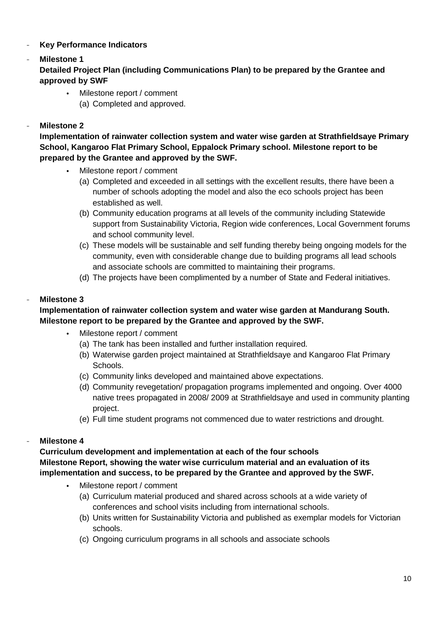#### - **Key Performance Indicators**

# - **Milestone 1**

**Detailed Project Plan (including Communications Plan) to be prepared by the Grantee and approved by SWF**

- Milestone report / comment
	- (a) Completed and approved.

#### - **Milestone 2**

**Implementation of rainwater collection system and water wise garden at Strathfieldsaye Primary School, Kangaroo Flat Primary School, Eppalock Primary school. Milestone report to be prepared by the Grantee and approved by the SWF.**

- Milestone report / comment
	- (a) Completed and exceeded in all settings with the excellent results, there have been a number of schools adopting the model and also the eco schools project has been established as well.
	- (b) Community education programs at all levels of the community including Statewide support from Sustainability Victoria, Region wide conferences, Local Government forums and school community level.
	- (c) These models will be sustainable and self funding thereby being ongoing models for the community, even with considerable change due to building programs all lead schools and associate schools are committed to maintaining their programs.
	- (d) The projects have been complimented by a number of State and Federal initiatives.

#### - **Milestone 3**

#### **Implementation of rainwater collection system and water wise garden at Mandurang South. Milestone report to be prepared by the Grantee and approved by the SWF.**

- Milestone report / comment
	- (a) The tank has been installed and further installation required.
	- (b) Waterwise garden project maintained at Strathfieldsaye and Kangaroo Flat Primary Schools.
	- (c) Community links developed and maintained above expectations.
	- (d) Community revegetation/ propagation programs implemented and ongoing. Over 4000 native trees propagated in 2008/ 2009 at Strathfieldsaye and used in community planting project.
	- (e) Full time student programs not commenced due to water restrictions and drought.

#### - **Milestone 4**

**Curriculum development and implementation at each of the four schools Milestone Report, showing the water wise curriculum material and an evaluation of its implementation and success, to be prepared by the Grantee and approved by the SWF.**

- Milestone report / comment
	- (a) Curriculum material produced and shared across schools at a wide variety of conferences and school visits including from international schools.
	- (b) Units written for Sustainability Victoria and published as exemplar models for Victorian schools.
	- (c) Ongoing curriculum programs in all schools and associate schools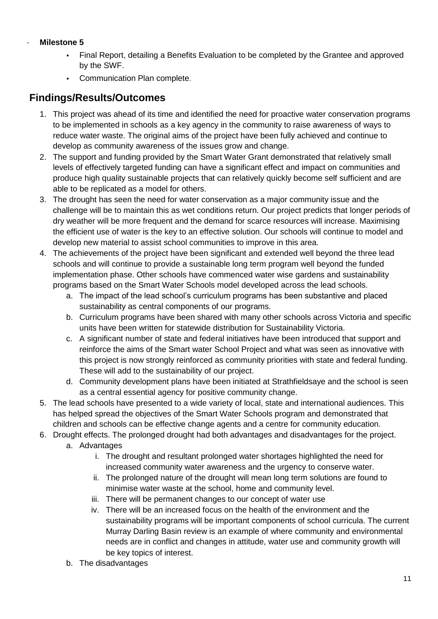#### - **Milestone 5**

- Final Report, detailing a Benefits Evaluation to be completed by the Grantee and approved by the SWF.
- Communication Plan complete.

### **Findings/Results/Outcomes**

- 1. This project was ahead of its time and identified the need for proactive water conservation programs to be implemented in schools as a key agency in the community to raise awareness of ways to reduce water waste. The original aims of the project have been fully achieved and continue to develop as community awareness of the issues grow and change.
- 2. The support and funding provided by the Smart Water Grant demonstrated that relatively small levels of effectively targeted funding can have a significant effect and impact on communities and produce high quality sustainable projects that can relatively quickly become self sufficient and are able to be replicated as a model for others.
- 3. The drought has seen the need for water conservation as a major community issue and the challenge will be to maintain this as wet conditions return. Our project predicts that longer periods of dry weather will be more frequent and the demand for scarce resources will increase. Maximising the efficient use of water is the key to an effective solution. Our schools will continue to model and develop new material to assist school communities to improve in this area.
- 4. The achievements of the project have been significant and extended well beyond the three lead schools and will continue to provide a sustainable long term program well beyond the funded implementation phase. Other schools have commenced water wise gardens and sustainability programs based on the Smart Water Schools model developed across the lead schools.
	- a. The impact of the lead school's curriculum programs has been substantive and placed sustainability as central components of our programs.
	- b. Curriculum programs have been shared with many other schools across Victoria and specific units have been written for statewide distribution for Sustainability Victoria.
	- c. A significant number of state and federal initiatives have been introduced that support and reinforce the aims of the Smart water School Project and what was seen as innovative with this project is now strongly reinforced as community priorities with state and federal funding. These will add to the sustainability of our project.
	- d. Community development plans have been initiated at Strathfieldsaye and the school is seen as a central essential agency for positive community change.
- 5. The lead schools have presented to a wide variety of local, state and international audiences. This has helped spread the objectives of the Smart Water Schools program and demonstrated that children and schools can be effective change agents and a centre for community education.
- 6. Drought effects. The prolonged drought had both advantages and disadvantages for the project.
	- a. Advantages
		- i. The drought and resultant prolonged water shortages highlighted the need for increased community water awareness and the urgency to conserve water.
		- ii. The prolonged nature of the drought will mean long term solutions are found to minimise water waste at the school, home and community level.
		- iii. There will be permanent changes to our concept of water use
		- iv. There will be an increased focus on the health of the environment and the sustainability programs will be important components of school curricula. The current Murray Darling Basin review is an example of where community and environmental needs are in conflict and changes in attitude, water use and community growth will be key topics of interest.
	- b. The disadvantages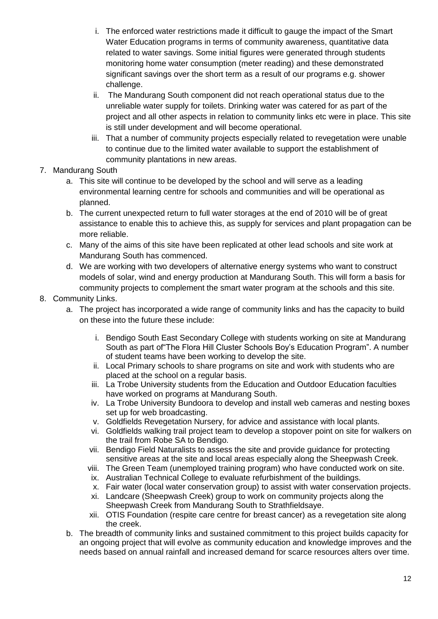- i. The enforced water restrictions made it difficult to gauge the impact of the Smart Water Education programs in terms of community awareness, quantitative data related to water savings. Some initial figures were generated through students monitoring home water consumption (meter reading) and these demonstrated significant savings over the short term as a result of our programs e.g. shower challenge.
- ii. The Mandurang South component did not reach operational status due to the unreliable water supply for toilets. Drinking water was catered for as part of the project and all other aspects in relation to community links etc were in place. This site is still under development and will become operational.
- iii. That a number of community projects especially related to revegetation were unable to continue due to the limited water available to support the establishment of community plantations in new areas.
- 7. Mandurang South
	- a. This site will continue to be developed by the school and will serve as a leading environmental learning centre for schools and communities and will be operational as planned.
	- b. The current unexpected return to full water storages at the end of 2010 will be of great assistance to enable this to achieve this, as supply for services and plant propagation can be more reliable.
	- c. Many of the aims of this site have been replicated at other lead schools and site work at Mandurang South has commenced.
	- d. We are working with two developers of alternative energy systems who want to construct models of solar, wind and energy production at Mandurang South. This will form a basis for community projects to complement the smart water program at the schools and this site.
- 8. Community Links.
	- a. The project has incorporated a wide range of community links and has the capacity to build on these into the future these include:
		- i. Bendigo South East Secondary College with students working on site at Mandurang South as part of"The Flora Hill Cluster Schools Boy's Education Program". A number of student teams have been working to develop the site.
		- ii. Local Primary schools to share programs on site and work with students who are placed at the school on a regular basis.
		- iii. La Trobe University students from the Education and Outdoor Education faculties have worked on programs at Mandurang South.
		- iv. La Trobe University Bundoora to develop and install web cameras and nesting boxes set up for web broadcasting.
		- v. Goldfields Revegetation Nursery, for advice and assistance with local plants.
		- vi. Goldfields walking trail project team to develop a stopover point on site for walkers on the trail from Robe SA to Bendigo.
		- vii. Bendigo Field Naturalists to assess the site and provide guidance for protecting sensitive areas at the site and local areas especially along the Sheepwash Creek.
		- viii. The Green Team (unemployed training program) who have conducted work on site.
		- ix. Australian Technical College to evaluate refurbishment of the buildings.
		- x. Fair water (local water conservation group) to assist with water conservation projects.
		- xi. Landcare (Sheepwash Creek) group to work on community projects along the Sheepwash Creek from Mandurang South to Strathfieldsaye.
		- xii. OTIS Foundation (respite care centre for breast cancer) as a revegetation site along the creek.
	- b. The breadth of community links and sustained commitment to this project builds capacity for an ongoing project that will evolve as community education and knowledge improves and the needs based on annual rainfall and increased demand for scarce resources alters over time.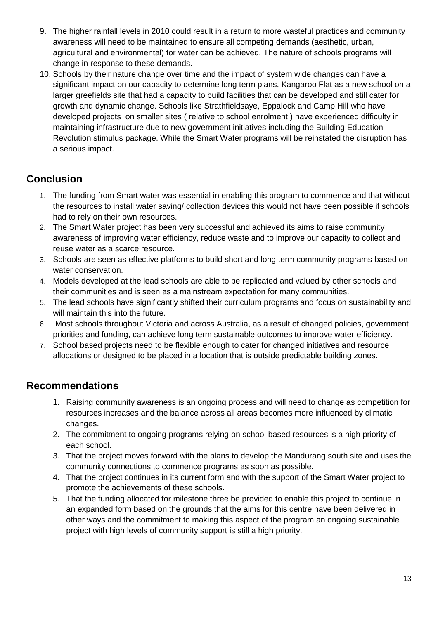- 9. The higher rainfall levels in 2010 could result in a return to more wasteful practices and community awareness will need to be maintained to ensure all competing demands (aesthetic, urban, agricultural and environmental) for water can be achieved. The nature of schools programs will change in response to these demands.
- 10. Schools by their nature change over time and the impact of system wide changes can have a significant impact on our capacity to determine long term plans. Kangaroo Flat as a new school on a larger greefields site that had a capacity to build facilities that can be developed and still cater for growth and dynamic change. Schools like Strathfieldsaye, Eppalock and Camp Hill who have developed projects on smaller sites ( relative to school enrolment ) have experienced difficulty in maintaining infrastructure due to new government initiatives including the Building Education Revolution stimulus package. While the Smart Water programs will be reinstated the disruption has a serious impact.

# **Conclusion**

- 1. The funding from Smart water was essential in enabling this program to commence and that without the resources to install water saving/ collection devices this would not have been possible if schools had to rely on their own resources.
- 2. The Smart Water project has been very successful and achieved its aims to raise community awareness of improving water efficiency, reduce waste and to improve our capacity to collect and reuse water as a scarce resource.
- 3. Schools are seen as effective platforms to build short and long term community programs based on water conservation.
- 4. Models developed at the lead schools are able to be replicated and valued by other schools and their communities and is seen as a mainstream expectation for many communities.
- 5. The lead schools have significantly shifted their curriculum programs and focus on sustainability and will maintain this into the future.
- 6. Most schools throughout Victoria and across Australia, as a result of changed policies, government priorities and funding, can achieve long term sustainable outcomes to improve water efficiency.
- 7. School based projects need to be flexible enough to cater for changed initiatives and resource allocations or designed to be placed in a location that is outside predictable building zones.

### **Recommendations**

- 1. Raising community awareness is an ongoing process and will need to change as competition for resources increases and the balance across all areas becomes more influenced by climatic changes.
- 2. The commitment to ongoing programs relying on school based resources is a high priority of each school.
- 3. That the project moves forward with the plans to develop the Mandurang south site and uses the community connections to commence programs as soon as possible.
- 4. That the project continues in its current form and with the support of the Smart Water project to promote the achievements of these schools.
- 5. That the funding allocated for milestone three be provided to enable this project to continue in an expanded form based on the grounds that the aims for this centre have been delivered in other ways and the commitment to making this aspect of the program an ongoing sustainable project with high levels of community support is still a high priority.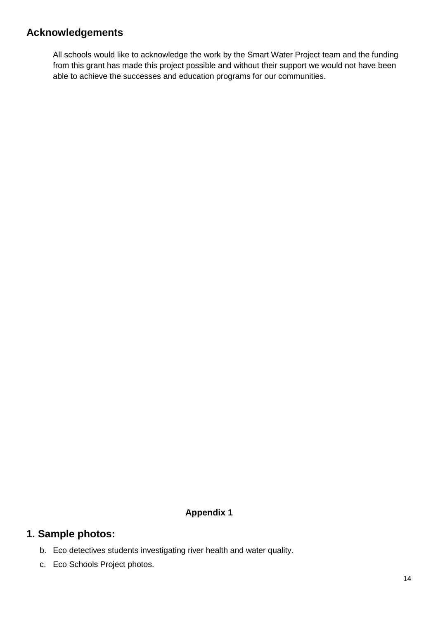### **Acknowledgements**

All schools would like to acknowledge the work by the Smart Water Project team and the funding from this grant has made this project possible and without their support we would not have been able to achieve the successes and education programs for our communities.

#### **Appendix 1**

#### **1. Sample photos:**

- b. Eco detectives students investigating river health and water quality.
- c. Eco Schools Project photos.